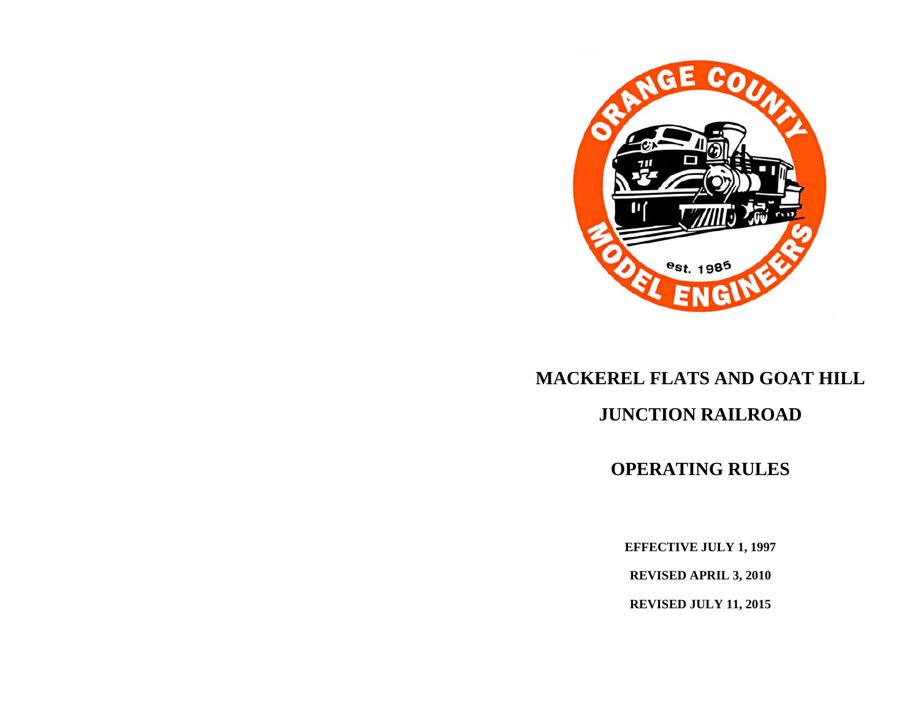

# **MACKEREL FLATS AND GOAT HILL**

## **JUNCTION RAILROAD**

## **OPERATING RULES**

**EFFECTIVE JULY 1, 1997** 

**REVISED APRIL 3, 2010** 

**REVISED JULY 11, 2015**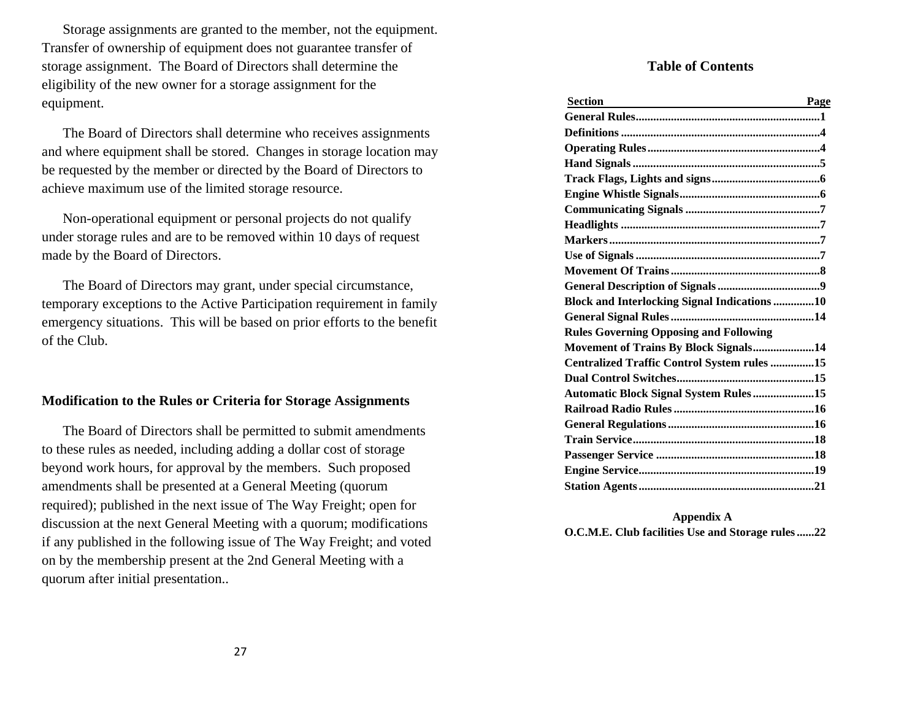Storage assignments are granted to the member, not the equipment. Transfer of ownership of equipment does not guarantee transfer of storage assignment. The Board of Directors shall determine the eligibility of the new owner for a storage assignment for the equipment.

 The Board of Directors shall determine who receives assignments and where equipment shall be stored. Changes in storage location may be requested by the member or directed by the Board of Directors to achieve maximum use of the limited storage resource.

 Non-operational equipment or personal projects do not qualify under storage rules and are to be removed within 10 days of request made by the Board of Directors.

 The Board of Directors may grant, under special circumstance, temporary exceptions to the Active Participation requirement in family emergency situations. This will be based on prior efforts to the benefit of the Club.

#### **Modification to the Rules or Criteria for Storage Assignments**

 The Board of Directors shall be permitted to submit amendments to these rules as needed, including adding a dollar cost of storage beyond work hours, for approval by the members. Such proposed amendments shall be presented at a General Meeting (quorum required); published in the next issue of The Way Freight; open for discussion at the next General Meeting with a quorum; modifications if any published in the following issue of The Way Freight; and voted on by the membership present at the 2nd General Meeting with a quorum after initial presentation..

#### **Table of Contents**

| Section<br>Page                                     |
|-----------------------------------------------------|
|                                                     |
|                                                     |
|                                                     |
|                                                     |
|                                                     |
|                                                     |
|                                                     |
|                                                     |
|                                                     |
|                                                     |
|                                                     |
|                                                     |
| <b>Block and Interlocking Signal Indications 10</b> |
|                                                     |
| <b>Rules Governing Opposing and Following</b>       |
| Movement of Trains By Block Signals14               |
| Centralized Traffic Control System rules 15         |
|                                                     |
| <b>Automatic Block Signal System Rules 15</b>       |
|                                                     |
|                                                     |
|                                                     |
|                                                     |
|                                                     |
|                                                     |

**Appendix A O.C.M.E. Club facilities Use and Storage rules ...... 22**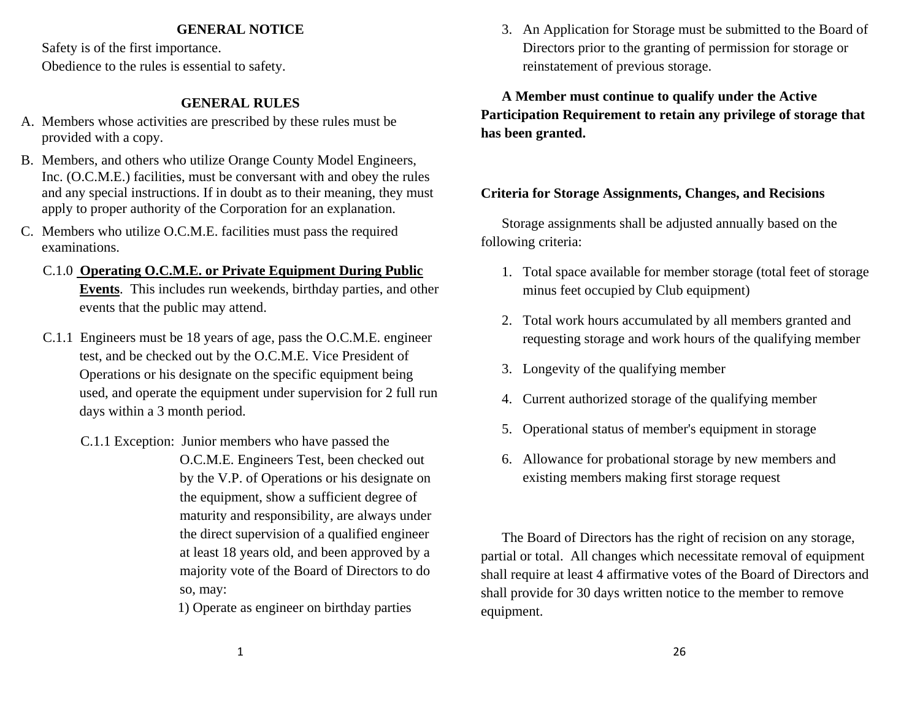#### **GENERAL NOTICE**

Safety is of the first importance. Obedience to the rules is essential to safety.

## **GENERAL RULES**

- A. Members whose activities are prescribed by these rules must be provided with a copy.
- B. Members, and others who utilize Orange County Model Engineers, Inc. (O.C.M.E.) facilities, must be conversant with and obey the rules and any special instructions. If in doubt as to their meaning, they must apply to proper authority of the Corporation for an explanation.
- C. Members who utilize O.C.M.E. facilities must pass the required examinations.

## C.1.0 **Operating O.C.M.E. or Private Equipment During Public Events**. This includes run weekends, birthday parties, and other events that the public may attend.

- C.1.1 Engineers must be 18 years of age, pass the O.C.M.E. engineer test, and be checked out by the O.C.M.E. Vice President of Operations or his designate on the specific equipment being used, and operate the equipment under supervision for 2 full run days within a 3 month period.
	- C.1.1 Exception: Junior members who have passed the O.C.M.E. Engineers Test, been checked out by the V.P. of Operations or his designate on the equipment, show a sufficient degree of maturity and responsibility, are always under the direct supervision of a qualified engineer at least 18 years old, and been approved by a majority vote of the Board of Directors to do so, may:
		- 1) Operate as engineer on birthday parties

 3. An Application for Storage must be submitted to the Board of Directors prior to the granting of permission for storage or reinstatement of previous storage.

**A Member must continue to qualify under the Active Participation Requirement to retain any privilege of storage that has been granted.**

## **Criteria for Storage Assignments, Changes, and Recisions**

 Storage assignments shall be adjusted annually based on the following criteria:

- 1. Total space available for member storage (total feet of storage minus feet occupied by Club equipment)
- 2. Total work hours accumulated by all members granted and requesting storage and work hours of the qualifying member
- 3. Longevity of the qualifying member
- 4. Current authorized storage of the qualifying member
- 5. Operational status of member's equipment in storage
- 6. Allowance for probational storage by new members and existing members making first storage request

 The Board of Directors has the right of recision on any storage, partial or total. All changes which necessitate removal of equipment shall require at least 4 affirmative votes of the Board of Directors and shall provide for 30 days written notice to the member to remove equipment.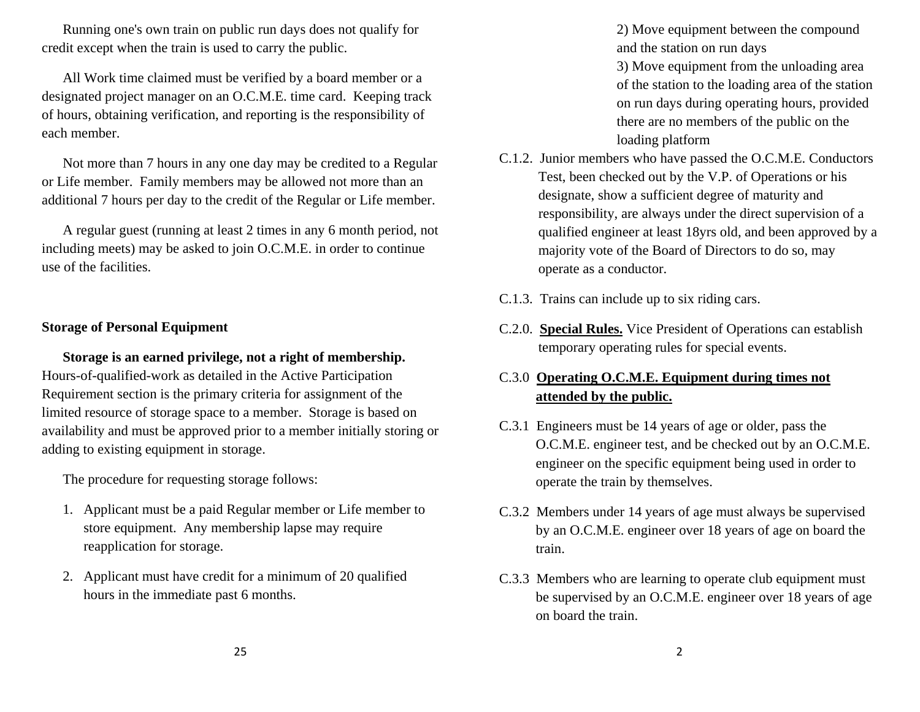Running one's own train on public run days does not qualify for credit except when the train is used to carry the public.

 All Work time claimed must be verified by a board member or a designated project manager on an O.C.M.E. time card. Keeping track of hours, obtaining verification, and reporting is the responsibility of each member.

 Not more than 7 hours in any one day may be credited to a Regular or Life member. Family members may be allowed not more than an additional 7 hours per day to the credit of the Regular or Life member.

 A regular guest (running at least 2 times in any 6 month period, not including meets) may be asked to join O.C.M.E. in order to continue use of the facilities.

#### **Storage of Personal Equipment**

**Storage is an earned privilege, not a right of membership.** Hours-of-qualified-work as detailed in the Active Participation Requirement section is the primary criteria for assignment of the limited resource of storage space to a member. Storage is based on availability and must be approved prior to a member initially storing or adding to existing equipment in storage.

The procedure for requesting storage follows:

- 1. Applicant must be a paid Regular member or Life member to store equipment. Any membership lapse may require reapplication for storage.
- 2. Applicant must have credit for a minimum of 20 qualified hours in the immediate past 6 months.

 2) Move equipment between the compound and the station on run days

3) Move equipment from the unloading area of the station to the loading area of the station on run days during operating hours, provided there are no members of the public on the loading platform

- C.1.2. Junior members who have passed the O.C.M.E. Conductors Test, been checked out by the V.P. of Operations or his designate, show a sufficient degree of maturity and responsibility, are always under the direct supervision of a qualified engineer at least 18yrs old, and been approved by a majority vote of the Board of Directors to do so, may operate as a conductor.
- C.1.3. Trains can include up to six riding cars.
- C.2.0. **Special Rules.** Vice President of Operations can establish temporary operating rules for special events.

## C.3.0 **Operating O.C.M.E. Equipment during times not attended by the public.**

- C.3.1 Engineers must be 14 years of age or older, pass the O.C.M.E. engineer test, and be checked out by an O.C.M.E. engineer on the specific equipment being used in order to operate the train by themselves.
- C.3.2 Members under 14 years of age must always be supervised by an O.C.M.E. engineer over 18 years of age on board the train.
- C.3.3 Members who are learning to operate club equipment must be supervised by an O.C.M.E. engineer over 18 years of age on board the train.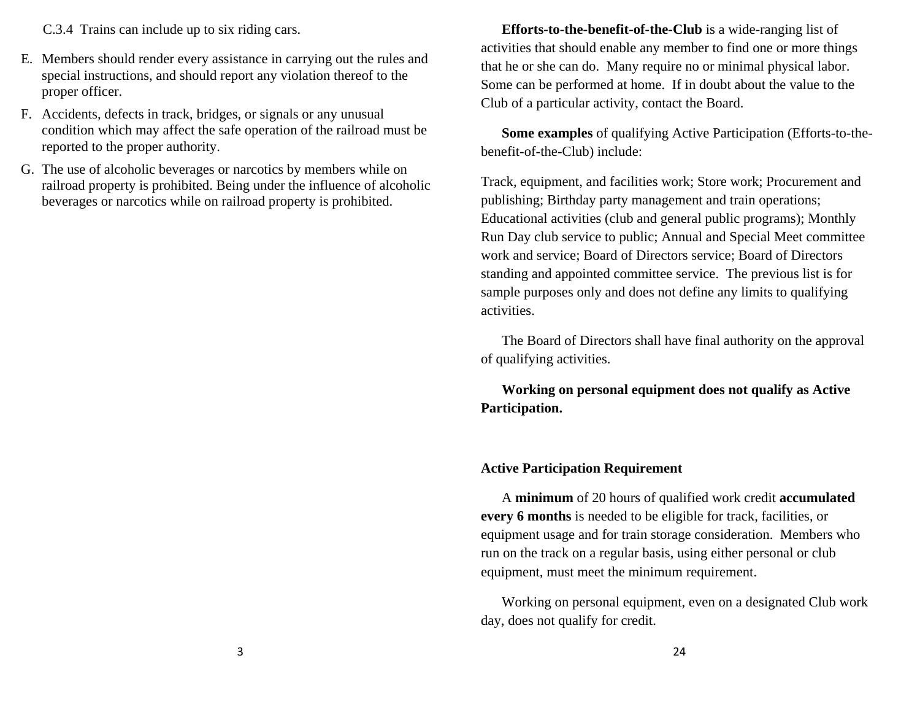C.3.4 Trains can include up to six riding cars.

- E. Members should render every assistance in carrying out the rules and special instructions, and should report any violation thereof to the proper officer.
- F. Accidents, defects in track, bridges, or signals or any unusual condition which may affect the safe operation of the railroad must be reported to the proper authority.
- G. The use of alcoholic beverages or narcotics by members while on railroad property is prohibited. Being under the influence of alcoholic beverages or narcotics while on railroad property is prohibited.

**Efforts-to-the-benefit-of-the-Club** is a wide-ranging list of activities that should enable any member to find one or more things that he or she can do. Many require no or minimal physical labor. Some can be performed at home. If in doubt about the value to the Club of a particular activity, contact the Board.

**Some examples** of qualifying Active Participation (Efforts-to-thebenefit-of-the-Club) include:

Track, equipment, and facilities work; Store work; Procurement and publishing; Birthday party management and train operations; Educational activities (club and general public programs); Monthly Run Day club service to public; Annual and Special Meet committee work and service; Board of Directors service; Board of Directors standing and appointed committee service. The previous list is for sample purposes only and does not define any limits to qualifying activities.

 The Board of Directors shall have final authority on the approval of qualifying activities.

**Working on personal equipment does not qualify as Active Participation.**

#### **Active Participation Requirement**

 A **minimum** of 20 hours of qualified work credit **accumulated every 6 months** is needed to be eligible for track, facilities, or equipment usage and for train storage consideration. Members who run on the track on a regular basis, using either personal or club equipment, must meet the minimum requirement.

 Working on personal equipment, even on a designated Club work day, does not qualify for credit.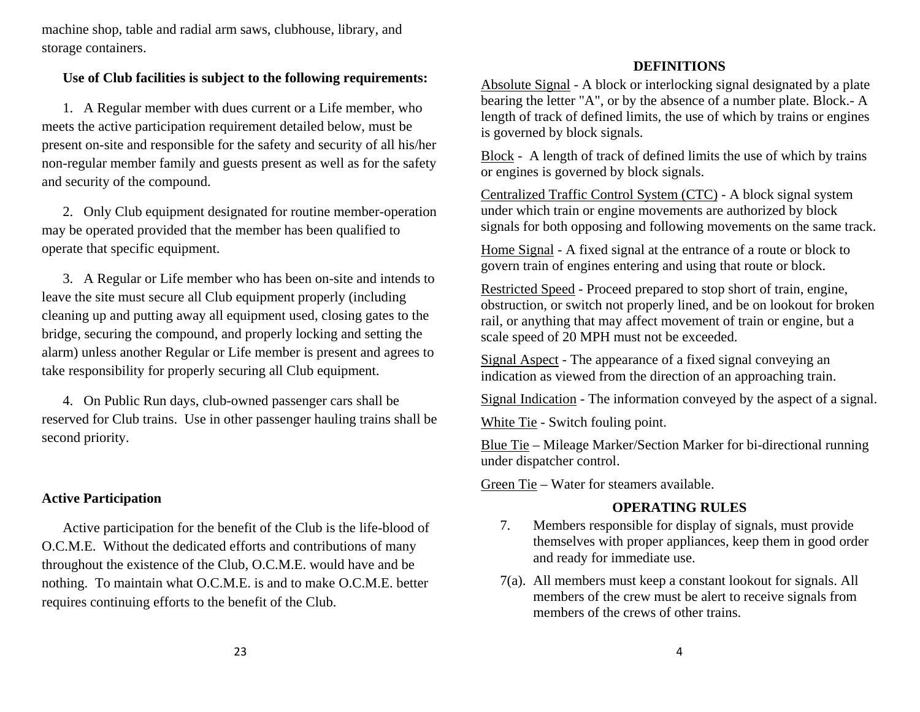machine shop, table and radial arm saws, clubhouse, library, and storage containers.

## **Use of Club facilities is subject to the following requirements:**

 1. A Regular member with dues current or a Life member, who meets the active participation requirement detailed below, must be present on-site and responsible for the safety and security of all his/her non-regular member family and guests present as well as for the safety and security of the compound.

 2. Only Club equipment designated for routine member-operation may be operated provided that the member has been qualified to operate that specific equipment.

 3. A Regular or Life member who has been on-site and intends to leave the site must secure all Club equipment properly (including cleaning up and putting away all equipment used, closing gates to the bridge, securing the compound, and properly locking and setting the alarm) unless another Regular or Life member is present and agrees to take responsibility for properly securing all Club equipment.

 4. On Public Run days, club-owned passenger cars shall be reserved for Club trains. Use in other passenger hauling trains shall be second priority.

## **Active Participation**

 Active participation for the benefit of the Club is the life-blood of O.C.M.E. Without the dedicated efforts and contributions of many throughout the existence of the Club, O.C.M.E. would have and be nothing. To maintain what O.C.M.E. is and to make O.C.M.E. better requires continuing efforts to the benefit of the Club.

### **DEFINITIONS**

Absolute Signal - A block or interlocking signal designated by a plate bearing the letter "A", or by the absence of a number plate. Block.- A length of track of defined limits, the use of which by trains or engines is governed by block signals.

Block - A length of track of defined limits the use of which by trains or engines is governed by block signals.

Centralized Traffic Control System (CTC) - A block signal system under which train or engine movements are authorized by block signals for both opposing and following movements on the same track.

Home Signal - A fixed signal at the entrance of a route or block to govern train of engines entering and using that route or block.

Restricted Speed - Proceed prepared to stop short of train, engine, obstruction, or switch not properly lined, and be on lookout for broken rail, or anything that may affect movement of train or engine, but a scale speed of 20 MPH must not be exceeded.

Signal Aspect - The appearance of a fixed signal conveying an indication as viewed from the direction of an approaching train.

Signal Indication - The information conveyed by the aspect of a signal.

White Tie - Switch fouling point.

Blue Tie – Mileage Marker/Section Marker for bi-directional running under dispatcher control.

Green Tie – Water for steamers available.

## **OPERATING RULES**

- 7. Members responsible for display of signals, must provide themselves with proper appliances, keep them in good order and ready for immediate use.
- 7(a). All members must keep a constant lookout for signals. All members of the crew must be alert to receive signals from members of the crews of other trains.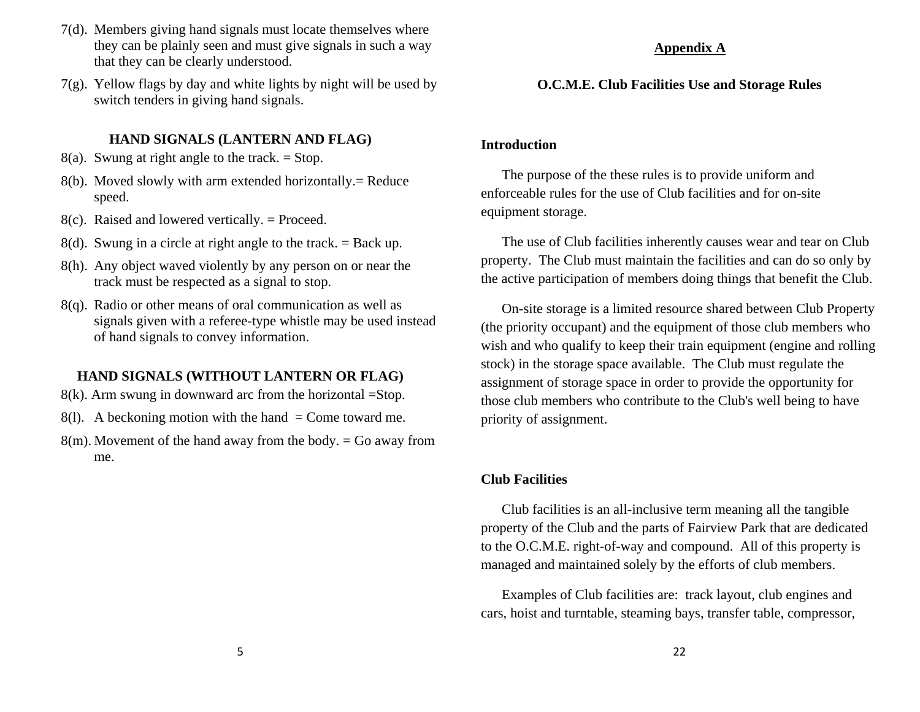- 7(d). Members giving hand signals must locate themselves where they can be plainly seen and must give signals in such a way that they can be clearly understood.
- 7(g). Yellow flags by day and white lights by night will be used by switch tenders in giving hand signals.

#### **HAND SIGNALS (LANTERN AND FLAG)**

- 8(a). Swung at right angle to the track.  $=$  Stop.
- 8(b). Moved slowly with arm extended horizontally.= Reduce speed.
- $8(c)$ . Raised and lowered vertically. = Proceed.
- 8(d). Swung in a circle at right angle to the track. = Back up.
- 8(h). Any object waved violently by any person on or near the track must be respected as a signal to stop.
- 8(q). Radio or other means of oral communication as well as signals given with a referee-type whistle may be used instead of hand signals to convey information.

## **HAND SIGNALS (WITHOUT LANTERN OR FLAG)**

- $8(k)$ . Arm swung in downward arc from the horizontal =Stop.
- 8(1). A beckoning motion with the hand  $=$  Come toward me.
- $8(m)$ . Movement of the hand away from the body. = Go away from me.

## **Appendix A**

## **O.C.M.E. Club Facilities Use and Storage Rules**

### **Introduction**

 The purpose of the these rules is to provide uniform and enforceable rules for the use of Club facilities and for on-site equipment storage.

 The use of Club facilities inherently causes wear and tear on Club property. The Club must maintain the facilities and can do so only by the active participation of members doing things that benefit the Club.

 On-site storage is a limited resource shared between Club Property (the priority occupant) and the equipment of those club members who wish and who qualify to keep their train equipment (engine and rolling stock) in the storage space available. The Club must regulate the assignment of storage space in order to provide the opportunity for those club members who contribute to the Club's well being to have priority of assignment.

## **Club Facilities**

 Club facilities is an all-inclusive term meaning all the tangible property of the Club and the parts of Fairview Park that are dedicated to the O.C.M.E. right-of-way and compound. All of this property is managed and maintained solely by the efforts of club members.

 Examples of Club facilities are: track layout, club engines and cars, hoist and turntable, steaming bays, transfer table, compressor,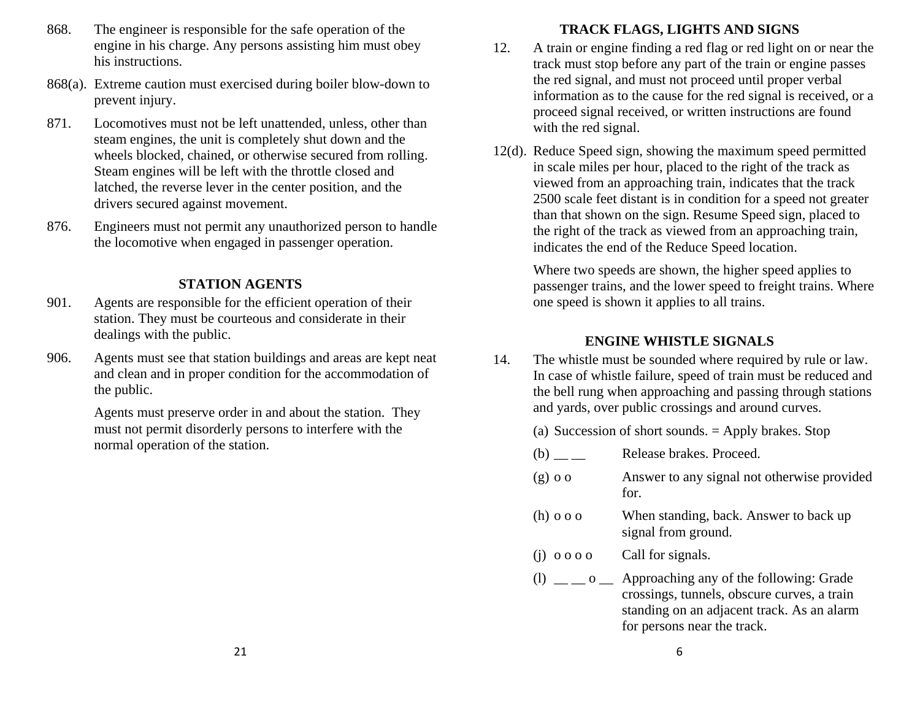- 868. The engineer is responsible for the safe operation of the engine in his charge. Any persons assisting him must obey his instructions.
- 868(a). Extreme caution must exercised during boiler blow-down to prevent injury.
- 871. Locomotives must not be left unattended, unless, other than steam engines, the unit is completely shut down and the wheels blocked, chained, or otherwise secured from rolling. Steam engines will be left with the throttle closed and latched, the reverse lever in the center position, and the drivers secured against movement.
- 876. Engineers must not permit any unauthorized person to handle the locomotive when engaged in passenger operation.

## **STATION AGENTS**

- 901. Agents are responsible for the efficient operation of their station. They must be courteous and considerate in their dealings with the public.
- 906. Agents must see that station buildings and areas are kept neat and clean and in proper condition for the accommodation of the public.

 Agents must preserve order in and about the station. They must not permit disorderly persons to interfere with the normal operation of the station.

## **TRACK FLAGS, LIGHTS AND SIGNS**

- 12. A train or engine finding a red flag or red light on or near the track must stop before any part of the train or engine passes the red signal, and must not proceed until proper verbal information as to the cause for the red signal is received, or a proceed signal received, or written instructions are found with the red signal.
- 12(d). Reduce Speed sign, showing the maximum speed permitted in scale miles per hour, placed to the right of the track as viewed from an approaching train, indicates that the track 2500 scale feet distant is in condition for a speed not greater than that shown on the sign. Resume Speed sign, placed to the right of the track as viewed from an approaching train, indicates the end of the Reduce Speed location.

 Where two speeds are shown, the higher speed applies to passenger trains, and the lower speed to freight trains. Where one speed is shown it applies to all trains.

## **ENGINE WHISTLE SIGNALS**

 14. The whistle must be sounded where required by rule or law. In case of whistle failure, speed of train must be reduced and the bell rung when approaching and passing through stations and yards, over public crossings and around curves.

(a) Succession of short sounds. = Apply brakes. Stop

- (b) \_\_ \_\_ Release brakes. Proceed.
- (g) o o Answer to any signal not otherwise provided for.
- (h) o o o When standing, back. Answer to back up signal from ground.
- (j) o o o o Call for signals.
- (l)  $\_\_$  o  $\_\_$  Approaching any of the following: Grade crossings, tunnels, obscure curves, a train standing on an adjacent track. As an alarm for persons near the track.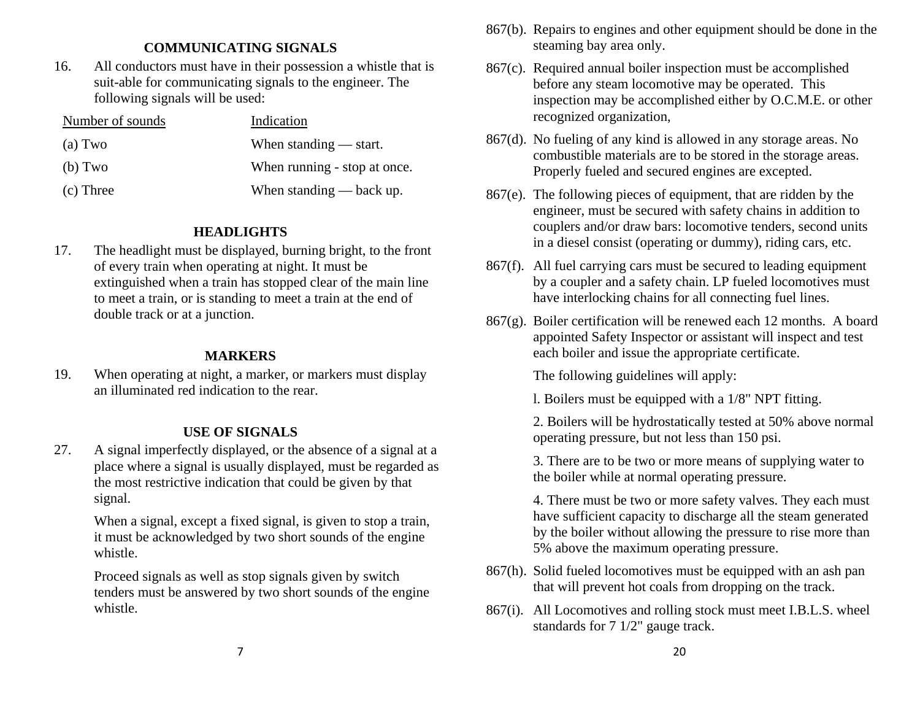## **COMMUNICATING SIGNALS**

 16. All conductors must have in their possession a whistle that is suit-able for communicating signals to the engineer. The following signals will be used:

| Number of sounds | Indication                   |
|------------------|------------------------------|
| (a) Two          | When standing $-$ start.     |
| (b) Two          | When running - stop at once. |
| (c) Three        | When standing $-$ back up.   |

### **HEADLIGHTS**

 17. The headlight must be displayed, burning bright, to the front of every train when operating at night. It must be extinguished when a train has stopped clear of the main line to meet a train, or is standing to meet a train at the end of double track or at a junction.

## **MARKERS**

 19. When operating at night, a marker, or markers must display an illuminated red indication to the rear.

## **USE OF SIGNALS**

 27. A signal imperfectly displayed, or the absence of a signal at a place where a signal is usually displayed, must be regarded as the most restrictive indication that could be given by that signal.

> When a signal, except a fixed signal, is given to stop a train, it must be acknowledged by two short sounds of the engine whistle.

> Proceed signals as well as stop signals given by switch tenders must be answered by two short sounds of the engine whistle.

- 867(b). Repairs to engines and other equipment should be done in the steaming bay area only.
- 867(c). Required annual boiler inspection must be accomplished before any steam locomotive may be operated. This inspection may be accomplished either by O.C.M.E. or other recognized organization,
- 867(d). No fueling of any kind is allowed in any storage areas. No combustible materials are to be stored in the storage areas. Properly fueled and secured engines are excepted.
- 867(e). The following pieces of equipment, that are ridden by the engineer, must be secured with safety chains in addition to couplers and/or draw bars: locomotive tenders, second units in a diesel consist (operating or dummy), riding cars, etc.
- 867(f). All fuel carrying cars must be secured to leading equipment by a coupler and a safety chain. LP fueled locomotives must have interlocking chains for all connecting fuel lines.
- 867(g). Boiler certification will be renewed each 12 months. A board appointed Safety Inspector or assistant will inspect and test each boiler and issue the appropriate certificate.

The following guidelines will apply:

l. Boilers must be equipped with a 1/8" NPT fitting.

 2. Boilers will be hydrostatically tested at 50% above normal operating pressure, but not less than 150 psi.

 3. There are to be two or more means of supplying water to the boiler while at normal operating pressure.

 4. There must be two or more safety valves. They each must have sufficient capacity to discharge all the steam generated by the boiler without allowing the pressure to rise more than 5% above the maximum operating pressure.

- 867(h). Solid fueled locomotives must be equipped with an ash pan that will prevent hot coals from dropping on the track.
- 867(i). All Locomotives and rolling stock must meet I.B.L.S. wheel standards for 7 1/2" gauge track.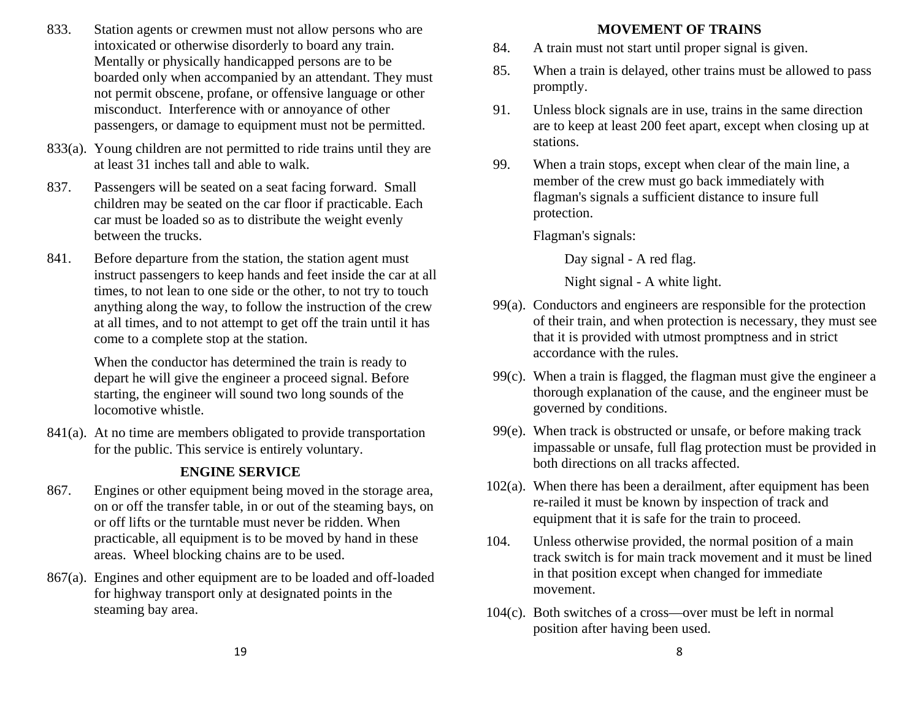- 833. Station agents or crewmen must not allow persons who are intoxicated or otherwise disorderly to board any train. Mentally or physically handicapped persons are to be boarded only when accompanied by an attendant. They must not permit obscene, profane, or offensive language or other misconduct. Interference with or annoyance of other passengers, or damage to equipment must not be permitted.
- 833(a). Young children are not permitted to ride trains until they are at least 31 inches tall and able to walk.
- 837. Passengers will be seated on a seat facing forward. Small children may be seated on the car floor if practicable. Each car must be loaded so as to distribute the weight evenly between the trucks.
- 841. Before departure from the station, the station agent must instruct passengers to keep hands and feet inside the car at all times, to not lean to one side or the other, to not try to touch anything along the way, to follow the instruction of the crew at all times, and to not attempt to get off the train until it has come to a complete stop at the station.

When the conductor has determined the train is ready to depart he will give the engineer a proceed signal. Before starting, the engineer will sound two long sounds of the locomotive whistle.

 841(a). At no time are members obligated to provide transportation for the public. This service is entirely voluntary.

## **ENGINE SERVICE**

- 867. Engines or other equipment being moved in the storage area, on or off the transfer table, in or out of the steaming bays, on or off lifts or the turntable must never be ridden. When practicable, all equipment is to be moved by hand in these areas. Wheel blocking chains are to be used.
- 867(a). Engines and other equipment are to be loaded and off-loaded for highway transport only at designated points in the steaming bay area.

#### **MOVEMENT OF TRAINS**

- 84. A train must not start until proper signal is given.
- 85. When a train is delayed, other trains must be allowed to pass promptly.
- 91. Unless block signals are in use, trains in the same direction are to keep at least 200 feet apart, except when closing up at stations.
- 99. When a train stops, except when clear of the main line, a member of the crew must go back immediately with flagman's signals a sufficient distance to insure full protection.

Flagman's signals:

Day signal - A red flag.

Night signal - A white light.

- 99(a). Conductors and engineers are responsible for the protection of their train, and when protection is necessary, they must see that it is provided with utmost promptness and in strict accordance with the rules.
- 99(c). When a train is flagged, the flagman must give the engineer a thorough explanation of the cause, and the engineer must be governed by conditions.
- 99(e). When track is obstructed or unsafe, or before making track impassable or unsafe, full flag protection must be provided in both directions on all tracks affected.
- 102(a). When there has been a derailment, after equipment has been re-railed it must be known by inspection of track and equipment that it is safe for the train to proceed.
- 104. Unless otherwise provided, the normal position of a main track switch is for main track movement and it must be lined in that position except when changed for immediate movement.
- 104(c). Both switches of a cross—over must be left in normal position after having been used.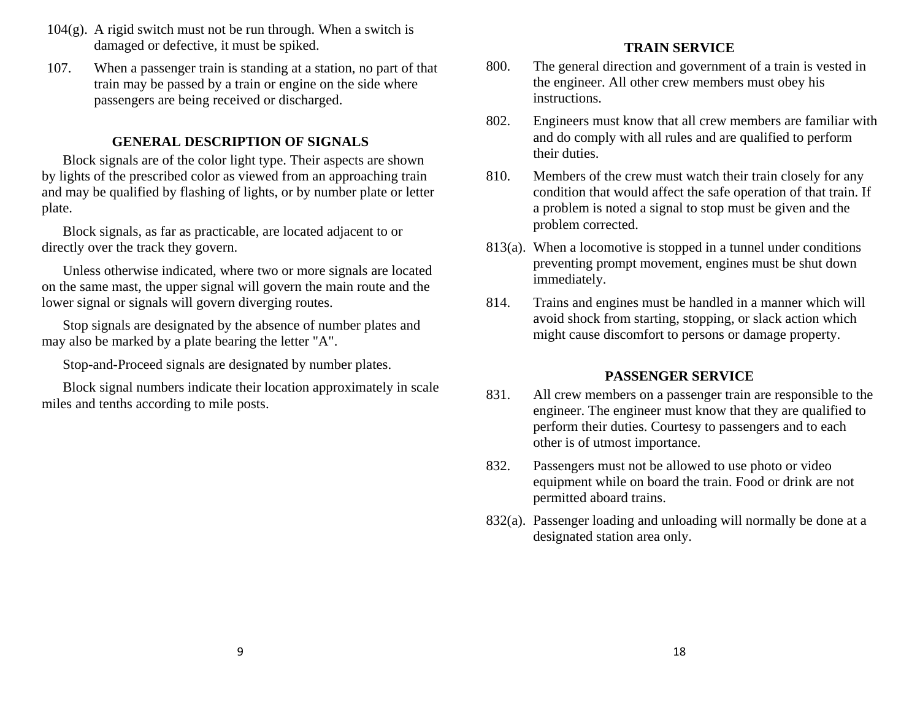- $104(g)$ . A rigid switch must not be run through. When a switch is damaged or defective, it must be spiked.
- 107. When a passenger train is standing at a station, no part of that train may be passed by a train or engine on the side where passengers are being received or discharged.

### **GENERAL DESCRIPTION OF SIGNALS**

Block signals are of the color light type. Their aspects are shown by lights of the prescribed color as viewed from an approaching train and may be qualified by flashing of lights, or by number plate or letter plate.

Block signals, as far as practicable, are located adjacent to or directly over the track they govern.

Unless otherwise indicated, where two or more signals are located on the same mast, the upper signal will govern the main route and the lower signal or signals will govern diverging routes.

Stop signals are designated by the absence of number plates and may also be marked by a plate bearing the letter "A".

Stop-and-Proceed signals are designated by number plates.

Block signal numbers indicate their location approximately in scale miles and tenths according to mile posts.

## **TRAIN SERVICE**

- 800. The general direction and government of a train is vested in the engineer. All other crew members must obey his instructions.
- 802. Engineers must know that all crew members are familiar with and do comply with all rules and are qualified to perform their duties.
- 810. Members of the crew must watch their train closely for any condition that would affect the safe operation of that train. If a problem is noted a signal to stop must be given and the problem corrected.
- 813(a). When a locomotive is stopped in a tunnel under conditions preventing prompt movement, engines must be shut down immediately.
- 814. Trains and engines must be handled in a manner which will avoid shock from starting, stopping, or slack action which might cause discomfort to persons or damage property.

#### **PASSENGER SERVICE**

- 831. All crew members on a passenger train are responsible to the engineer. The engineer must know that they are qualified to perform their duties. Courtesy to passengers and to each other is of utmost importance.
- 832. Passengers must not be allowed to use photo or video equipment while on board the train. Food or drink are not permitted aboard trains.
- 832(a). Passenger loading and unloading will normally be done at a designated station area only.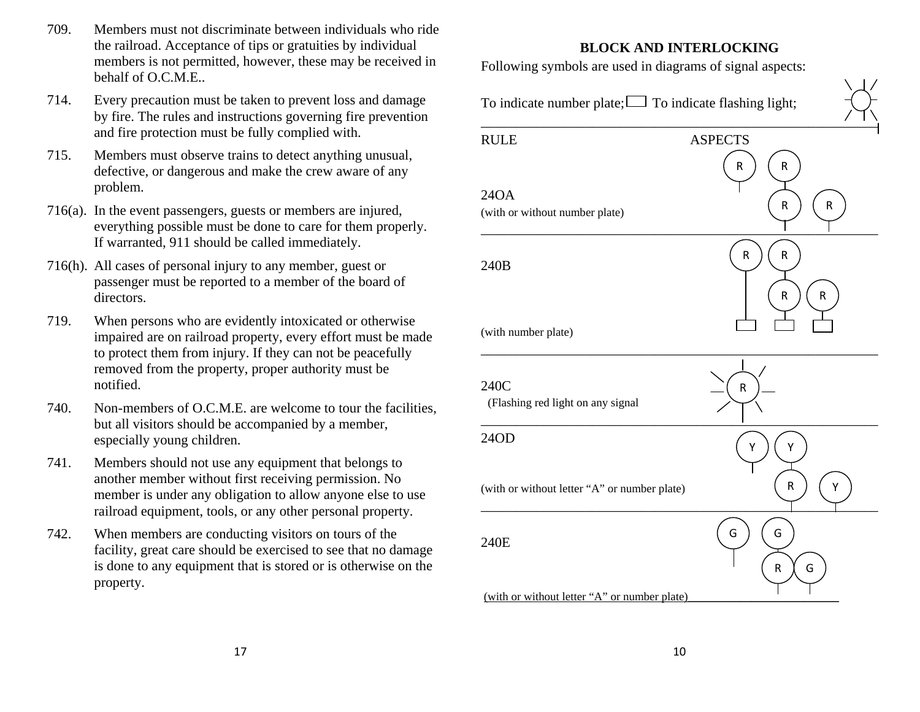- 709. Members must not discriminate between individuals who ride the railroad. Acceptance of tips or gratuities by individual members is not permitted, however, these may be received in behalf of O.C.M.E..
- 714. Every precaution must be taken to prevent loss and damage by fire. The rules and instructions governing fire prevention and fire protection must be fully complied with.
- 715. Members must observe trains to detect anything unusual, defective, or dangerous and make the crew aware of any problem.
- 716(a). In the event passengers, guests or members are injured, everything possible must be done to care for them properly. If warranted, 911 should be called immediately.
- 716(h). All cases of personal injury to any member, guest or passenger must be reported to a member of the board of directors.
- 719. When persons who are evidently intoxicated or otherwise impaired are on railroad property, every effort must be made to protect them from injury. If they can not be peacefully removed from the property, proper authority must be notified.
- 740. Non-members of O.C.M.E. are welcome to tour the facilities, but all visitors should be accompanied by a member, especially young children.
- 741. Members should not use any equipment that belongs to another member without first receiving permission. No member is under any obligation to allow anyone else to use railroad equipment, tools, or any other personal property.
- 742. When members are conducting visitors on tours of the facility, great care should be exercised to see that no damage is done to any equipment that is stored or is otherwise on the property.

## **BLOCK AND INTERLOCKING**

Following symbols are used in diagrams of signal aspects:

To indicate number plate;  $\Box$  To indicate flashing light;

| <b>RULE</b>                                  | <b>ASPECTS</b> |
|----------------------------------------------|----------------|
|                                              | R<br>R         |
| 24OA                                         |                |
| (with or without number plate)               | ${\sf R}$<br>R |
|                                              |                |
| 240B                                         | R<br>R         |
|                                              |                |
|                                              | R<br>R         |
| (with number plate)                          |                |
|                                              |                |
| 240C                                         |                |
| (Flashing red light on any signal            | ${\sf R}$      |
|                                              |                |
| 24OD                                         | Υ<br>Υ         |
|                                              |                |
| (with or without letter "A" or number plate) | R<br>Υ         |
|                                              |                |
| 240E                                         | G<br>G         |
|                                              | ${\sf R}$<br>G |
|                                              |                |
| (with or without letter "A" or number plate) |                |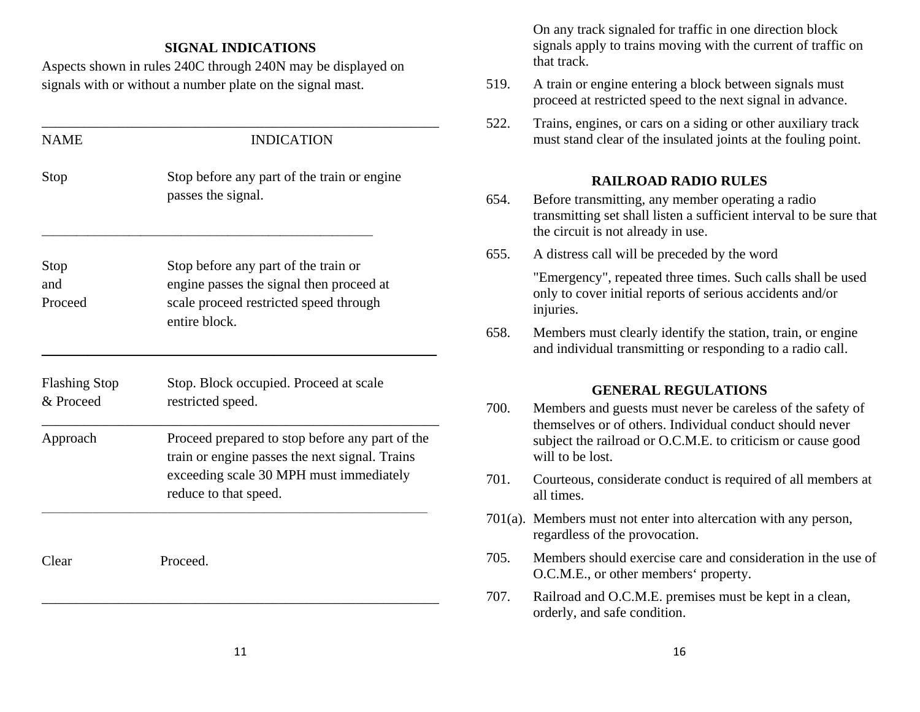#### **SIGNAL INDICATIONS**

Aspects shown in rules 240C through 240N may be displayed on signals with or without a number plate on the signal mast.

| <b>NAME</b>                       | <b>INDICATION</b>                                                                                                                                                     |  |
|-----------------------------------|-----------------------------------------------------------------------------------------------------------------------------------------------------------------------|--|
| Stop                              | Stop before any part of the train or engine<br>passes the signal.                                                                                                     |  |
| Stop<br>and<br>Proceed            | Stop before any part of the train or<br>engine passes the signal then proceed at<br>scale proceed restricted speed through<br>entire block.                           |  |
| <b>Flashing Stop</b><br>& Proceed | Stop. Block occupied. Proceed at scale<br>restricted speed.                                                                                                           |  |
| Approach                          | Proceed prepared to stop before any part of the<br>train or engine passes the next signal. Trains<br>exceeding scale 30 MPH must immediately<br>reduce to that speed. |  |
| Clear                             | Proceed.                                                                                                                                                              |  |

 On any track signaled for traffic in one direction block signals apply to trains moving with the current of traffic on that track.

- 519. A train or engine entering a block between signals must proceed at restricted speed to the next signal in advance.
- 522. Trains, engines, or cars on a siding or other auxiliary track must stand clear of the insulated joints at the fouling point.

#### **RAILROAD RADIO RULES**

- 654. Before transmitting, any member operating a radio transmitting set shall listen a sufficient interval to be sure that the circuit is not already in use.
- 655. A distress call will be preceded by the word

 "Emergency", repeated three times. Such calls shall be used only to cover initial reports of serious accidents and/or injuries.

 658. Members must clearly identify the station, train, or engine and individual transmitting or responding to a radio call.

#### **GENERAL REGULATIONS**

- 700. Members and guests must never be careless of the safety of themselves or of others. Individual conduct should never subject the railroad or O.C.M.E. to criticism or cause good will to be lost.
- 701. Courteous, considerate conduct is required of all members at all times.
- 701(a). Members must not enter into altercation with any person, regardless of the provocation.
- 705. Members should exercise care and consideration in the use of O.C.M.E., or other members' property.
- 707. Railroad and O.C.M.E. premises must be kept in a clean, orderly, and safe condition.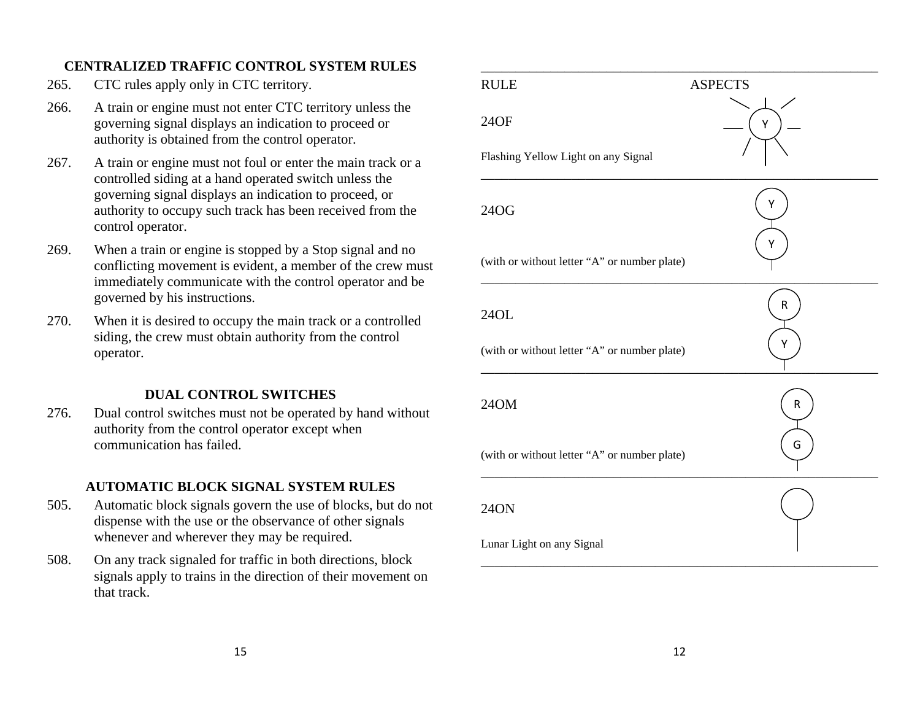## **CENTRALIZED TRAFFIC CONTROL SYSTEM RULES**

- 265. CTC rules apply only in CTC territory.
- 266. A train or engine must not enter CTC territory unless the governing signal displays an indication to proceed or authority is obtained from the control operator.
- 267. A train or engine must not foul or enter the main track or a controlled siding at a hand operated switch unless the governing signal displays an indication to proceed, or authority to occupy such track has been received from the control operator.
- 269. When a train or engine is stopped by a Stop signal and no conflicting movement is evident, a member of the crew must immediately communicate with the control operator and be governed by his instructions.
- 270. When it is desired to occupy the main track or a controlled siding, the crew must obtain authority from the control operator.

## **DUAL CONTROL SWITCHES**

 276. Dual control switches must not be operated by hand without authority from the control operator except when communication has failed.

## **AUTOMATIC BLOCK SIGNAL SYSTEM RULES**

- 505. Automatic block signals govern the use of blocks, but do not dispense with the use or the observance of other signals whenever and wherever they may be required.
- 508. On any track signaled for traffic in both directions, block signals apply to trains in the direction of their movement on that track.